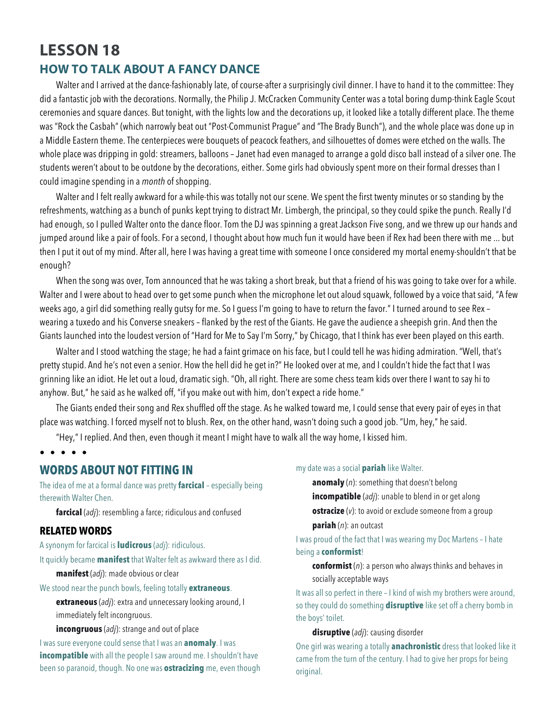# **LESSON 18 HOW TO TALK ABOUT A FANCY DANCE**

Walter and I arrived at the dance-fashionably late, of course-after a surprisingly civil dinner. I have to hand it to the committee: They did a fantastic job with the decorations. Normally, the Philip J. McCracken Community Center was a total boring dump-think Eagle Scout ceremonies and square dances. But tonight, with the lights low and the decorations up, it looked like a totally different place. The theme was "Rock the Casbah" (which narrowly beat out "Post-Communist Prague" and "The Brady Bunch"), and the whole place was done up in a Middle Eastern theme. The centerpieces were bouquets of peacock feathers, and silhouettes of domes were etched on the walls. The whole place was dripping in gold: streamers, balloons – Janet had even managed to arrange a gold disco ball instead of a silver one. The students weren't about to be outdone by the decorations, either. Some girls had obviously spent more on their formal dresses than I could imagine spending in a *month* of shopping.

Walter and I felt really awkward for a while-this was totally not our scene. We spent the first twenty minutes or so standing by the refreshments, watching as a bunch of punks kept trying to distract Mr. Limbergh, the principal, so they could spike the punch. Really I'd had enough, so I pulled Walter onto the dance floor. Tom the DJ was spinning a great Jackson Five song, and we threw up our hands and jumped around like a pair of fools. For a second, I thought about how much fun it would have been if Rex had been there with me ... but then I put it out of my mind. After all, here I was having a great time with someone I once considered my mortal enemy-shouldn't that be enough?

When the song was over, Tom announced that he was taking a short break, but that a friend of his was going to take over for a while. Walter and I were about to head over to get some punch when the microphone let out aloud squawk, followed by a voice that said, "A few weeks ago, a girl did something really gutsy for me. So I guess I'm going to have to return the favor." I turned around to see Rex – wearing a tuxedo and his Converse sneakers – flanked by the rest of the Giants. He gave the audience a sheepish grin. And then the Giants launched into the loudest version of "Hard for Me to Say I'm Sorry," by Chicago, that I think has ever been played on this earth.

Walter and I stood watching the stage; he had a faint grimace on his face, but I could tell he was hiding admiration. "Well, that's pretty stupid. And he's not even a senior. How the hell did he get in?" He looked over at me, and I couldn't hide the fact that I was grinning like an idiot. He let out a loud, dramatic sigh. "Oh, all right. There are some chess team kids over there I want to say hi to anyhow. But," he said as he walked off, "if you make out with him, don't expect a ride home."

The Giants ended their song and Rex shuffled off the stage. As he walked toward me, I could sense that every pair of eyes in that place was watching. I forced myself not to blush. Rex, on the other hand, wasn't doing such a good job. "Um, hey," he said.

"Hey," I replied. And then, even though it meant I might have to walk all the way home, I kissed him.

#### • • • • •

# **WORDS ABOUT NOT FITTING IN**

The idea of me at a formal dance was pretty **farcical** – especially being therewith Walter Chen.

**farcical** (*adj*): resembling a farce; ridiculous and confused

#### **RELATED WORDS**

A synonym for farcical is **ludicrous** (*adj*): ridiculous.

It quickly became **manifest** that Walter felt as awkward there as I did. **manifest** (*adj*): made obvious or clear

We stood near the punch bowls, feeling totally **extraneous**.

**extraneous** (*adj*): extra and unnecessary looking around, I immediately felt incongruous.

**incongruous** (*adj*): strange and out of place

I was sure everyone could sense that I was an **anomaly**. I was **incompatible** with all the people I saw around me. I shouldn't have been so paranoid, though. No one was **ostracizing** me, even though

#### my date was a social **pariah** like Walter.

**anomaly** (*n*): something that doesn't belong **incompatible** (*adj*): unable to blend in or get along **ostracize** (*v*): to avoid or exclude someone from a group **pariah** (*n*): an outcast

I was proud of the fact that I was wearing my Doc Martens – I hate being a **conformist**!

**conformist** (*n*): a person who always thinks and behaves in socially acceptable ways

It was all so perfect in there – I kind of wish my brothers were around, so they could do something **disruptive** like set off a cherry bomb in the boys' toilet.

**disruptive** (*adj*): causing disorder

One girl was wearing a totally **anachronistic** dress that looked like it came from the turn of the century. I had to give her props for being original.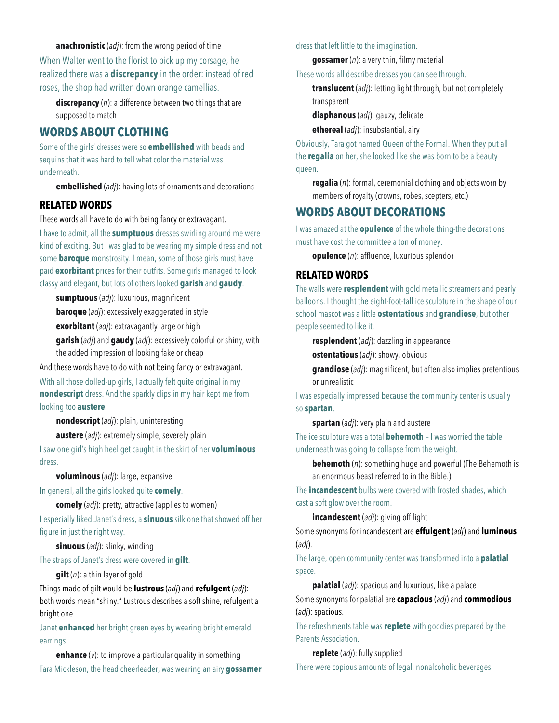**anachronistic** (*adj*): from the wrong period of time

When Walter went to the florist to pick up my corsage, he realized there was a **discrepancy** in the order: instead of red roses, the shop had written down orange camellias.

**discrepancy** (*n*): a difference between two things that are supposed to match

# **WORDS ABOUT CLOTHING**

Some of the girls' dresses were so **embellished** with beads and sequins that it was hard to tell what color the material was underneath.

**embellished** (*adj*): having lots of ornaments and decorations

## **RELATED WORDS**

These words all have to do with being fancy or extravagant.

I have to admit, all the **sumptuous** dresses swirling around me were kind of exciting. But I was glad to be wearing my simple dress and not some **baroque** monstrosity. I mean, some of those girls must have paid **exorbitant** prices for their outfits. Some girls managed to look classy and elegant, but lots of others looked **garish** and **gaudy**.

**sumptuous** (*adj*): luxurious, magnificent **baroque** (*adj*): excessively exaggerated in style

**exorbitant** (*adj*): extravagantly large or high

**garish** (*adj*) and **gaudy** (*adj*): excessively colorful or shiny, with the added impression of looking fake or cheap

And these words have to do with not being fancy or extravagant.

With all those dolled-up girls, I actually felt quite original in my **nondescript** dress. And the sparkly clips in my hair kept me from looking too **austere**.

**nondescript** (*adj*): plain, uninteresting

**austere** (*adj*): extremely simple, severely plain

I saw one girl's high heel get caught in the skirt of her **voluminous** dress.

**voluminous** (*adj*): large, expansive

In general, all the girls looked quite **comely**.

**comely** (*adj*): pretty, attractive (applies to women) I especially liked Janet's dress, a **sinuous** silk one that showed off her figure in just the right way.

**sinuous** (*adj*): slinky, winding

The straps of Janet's dress were covered in **gilt**.

**gilt** (*n*): a thin layer of gold

Things made of gilt would be **lustrous** (*adj*) and **refulgent** (*adj*): both words mean "shiny." Lustrous describes a soft shine, refulgent a bright one.

Janet **enhanced** her bright green eyes by wearing bright emerald earrings.

**enhance** (*v*): to improve a particular quality in something Tara Mickleson, the head cheerleader, was wearing an airy **gossamer** dress that left little to the imagination.

**gossamer** (*n*): a very thin, filmy material

These words all describe dresses you can see through.

**translucent** (*adj*): letting light through, but not completely transparent

**diaphanous** (*adj*): gauzy, delicate

**ethereal** (*adj*): insubstantial, airy

Obviously, Tara got named Queen of the Formal. When they put all the **regalia** on her, she looked like she was born to be a beauty queen.

**regalia** (*n*): formal, ceremonial clothing and objects worn by members of royalty (crowns, robes, scepters, etc.)

# **WORDS ABOUT DECORATIONS**

I was amazed at the **opulence** of the whole thing-the decorations must have cost the committee a ton of money.

**opulence** (*n*): affluence, luxurious splendor

#### **RELATED WORDS**

The walls were **resplendent** with gold metallic streamers and pearly balloons. I thought the eight-foot-tall ice sculpture in the shape of our school mascot was a little **ostentatious** and **grandiose**, but other people seemed to like it.

**resplendent** (*adj*): dazzling in appearance

**ostentatious** (*adj*): showy, obvious

**grandiose** (*adj*): magnificent, but often also implies pretentious or unrealistic

I was especially impressed because the community center is usually so **spartan**.

**spartan** (*adj*): very plain and austere

The ice sculpture was a total **behemoth** – I was worried the table underneath was going to collapse from the weight.

**behemoth** (*n*): something huge and powerful (The Behemoth is an enormous beast referred to in the Bible.)

The **incandescent** bulbs were covered with frosted shades, which cast a soft glow over the room.

**incandescent** (*adj*): giving off light

Some synonyms for incandescent are **effulgent** (*adj*) and **luminous** (*adj*).

The large, open community center was transformed into a **palatial** space.

**palatial** (*adj*): spacious and luxurious, like a palace

Some synonyms for palatial are **capacious** (*adj*) and **commodious** (*adj*): spacious.

The refreshments table was **replete** with goodies prepared by the Parents Association.

**replete** (*adj*): fully supplied

There were copious amounts of legal, nonalcoholic beverages